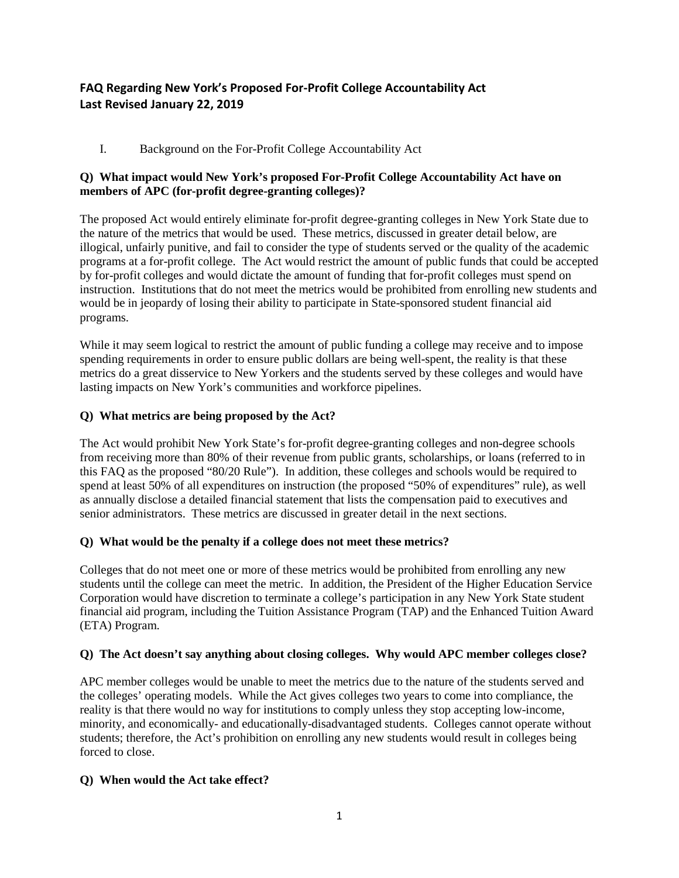# **FAQ Regarding New York's Proposed For-Profit College Accountability Act Last Revised January 22, 2019**

# I. Background on the For-Profit College Accountability Act

# **Q) What impact would New York's proposed For-Profit College Accountability Act have on members of APC (for-profit degree-granting colleges)?**

The proposed Act would entirely eliminate for-profit degree-granting colleges in New York State due to the nature of the metrics that would be used. These metrics, discussed in greater detail below, are illogical, unfairly punitive, and fail to consider the type of students served or the quality of the academic programs at a for-profit college. The Act would restrict the amount of public funds that could be accepted by for-profit colleges and would dictate the amount of funding that for-profit colleges must spend on instruction. Institutions that do not meet the metrics would be prohibited from enrolling new students and would be in jeopardy of losing their ability to participate in State-sponsored student financial aid programs.

While it may seem logical to restrict the amount of public funding a college may receive and to impose spending requirements in order to ensure public dollars are being well-spent, the reality is that these metrics do a great disservice to New Yorkers and the students served by these colleges and would have lasting impacts on New York's communities and workforce pipelines.

# **Q) What metrics are being proposed by the Act?**

The Act would prohibit New York State's for-profit degree-granting colleges and non-degree schools from receiving more than 80% of their revenue from public grants, scholarships, or loans (referred to in this FAQ as the proposed "80/20 Rule"). In addition, these colleges and schools would be required to spend at least 50% of all expenditures on instruction (the proposed "50% of expenditures" rule), as well as annually disclose a detailed financial statement that lists the compensation paid to executives and senior administrators. These metrics are discussed in greater detail in the next sections.

# **Q) What would be the penalty if a college does not meet these metrics?**

Colleges that do not meet one or more of these metrics would be prohibited from enrolling any new students until the college can meet the metric. In addition, the President of the Higher Education Service Corporation would have discretion to terminate a college's participation in any New York State student financial aid program, including the Tuition Assistance Program (TAP) and the Enhanced Tuition Award (ETA) Program.

#### **Q) The Act doesn't say anything about closing colleges. Why would APC member colleges close?**

APC member colleges would be unable to meet the metrics due to the nature of the students served and the colleges' operating models. While the Act gives colleges two years to come into compliance, the reality is that there would no way for institutions to comply unless they stop accepting low-income, minority, and economically- and educationally-disadvantaged students. Colleges cannot operate without students; therefore, the Act's prohibition on enrolling any new students would result in colleges being forced to close.

# **Q) When would the Act take effect?**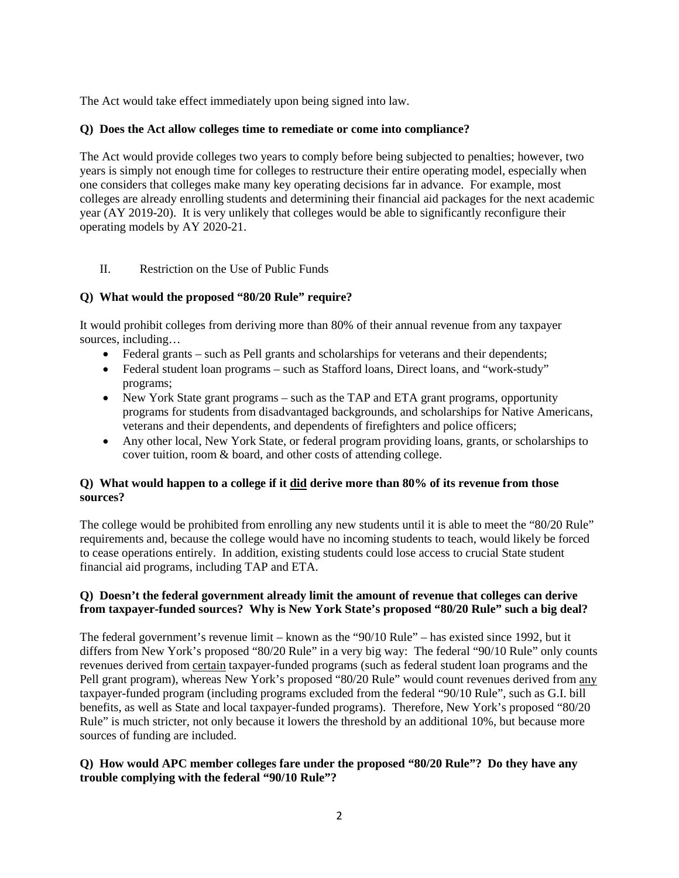The Act would take effect immediately upon being signed into law.

# **Q) Does the Act allow colleges time to remediate or come into compliance?**

The Act would provide colleges two years to comply before being subjected to penalties; however, two years is simply not enough time for colleges to restructure their entire operating model, especially when one considers that colleges make many key operating decisions far in advance. For example, most colleges are already enrolling students and determining their financial aid packages for the next academic year (AY 2019-20). It is very unlikely that colleges would be able to significantly reconfigure their operating models by AY 2020-21.

# II. Restriction on the Use of Public Funds

# **Q) What would the proposed "80/20 Rule" require?**

It would prohibit colleges from deriving more than 80% of their annual revenue from any taxpayer sources, including…

- Federal grants such as Pell grants and scholarships for veterans and their dependents;
- Federal student loan programs such as Stafford loans, Direct loans, and "work-study" programs;
- New York State grant programs such as the TAP and ETA grant programs, opportunity programs for students from disadvantaged backgrounds, and scholarships for Native Americans, veterans and their dependents, and dependents of firefighters and police officers;
- Any other local, New York State, or federal program providing loans, grants, or scholarships to cover tuition, room & board, and other costs of attending college.

# **Q) What would happen to a college if it did derive more than 80% of its revenue from those sources?**

The college would be prohibited from enrolling any new students until it is able to meet the "80/20 Rule" requirements and, because the college would have no incoming students to teach, would likely be forced to cease operations entirely. In addition, existing students could lose access to crucial State student financial aid programs, including TAP and ETA.

# **Q) Doesn't the federal government already limit the amount of revenue that colleges can derive from taxpayer-funded sources? Why is New York State's proposed "80/20 Rule" such a big deal?**

The federal government's revenue limit – known as the "90/10 Rule" – has existed since 1992, but it differs from New York's proposed "80/20 Rule" in a very big way: The federal "90/10 Rule" only counts revenues derived from certain taxpayer-funded programs (such as federal student loan programs and the Pell grant program), whereas New York's proposed "80/20 Rule" would count revenues derived from any taxpayer-funded program (including programs excluded from the federal "90/10 Rule", such as G.I. bill benefits, as well as State and local taxpayer-funded programs). Therefore, New York's proposed "80/20 Rule" is much stricter, not only because it lowers the threshold by an additional 10%, but because more sources of funding are included.

# **Q) How would APC member colleges fare under the proposed "80/20 Rule"? Do they have any trouble complying with the federal "90/10 Rule"?**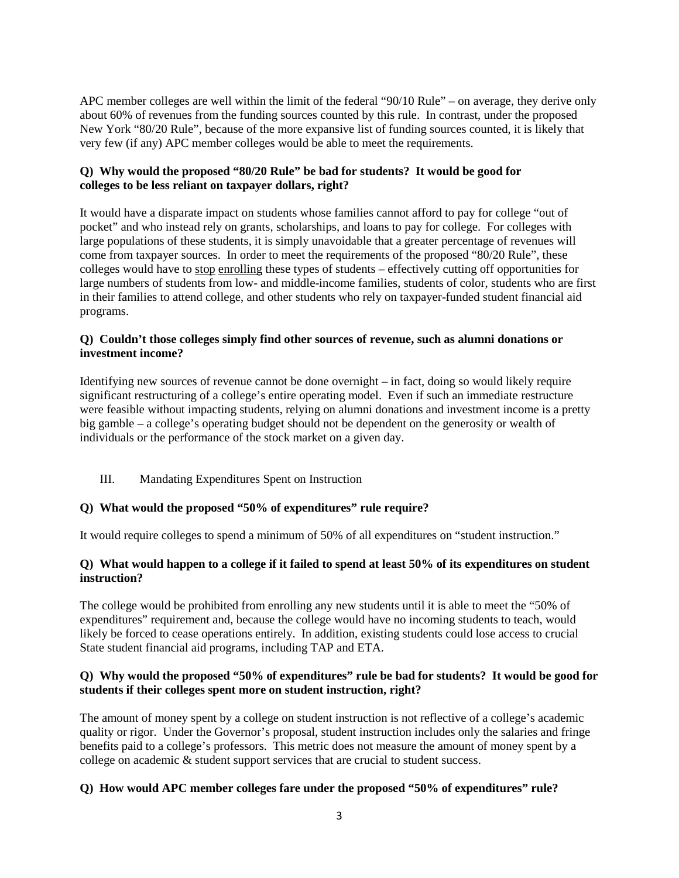APC member colleges are well within the limit of the federal "90/10 Rule" – on average, they derive only about 60% of revenues from the funding sources counted by this rule. In contrast, under the proposed New York "80/20 Rule", because of the more expansive list of funding sources counted, it is likely that very few (if any) APC member colleges would be able to meet the requirements.

# **Q) Why would the proposed "80/20 Rule" be bad for students? It would be good for colleges to be less reliant on taxpayer dollars, right?**

It would have a disparate impact on students whose families cannot afford to pay for college "out of pocket" and who instead rely on grants, scholarships, and loans to pay for college. For colleges with large populations of these students, it is simply unavoidable that a greater percentage of revenues will come from taxpayer sources. In order to meet the requirements of the proposed "80/20 Rule", these colleges would have to stop enrolling these types of students – effectively cutting off opportunities for large numbers of students from low- and middle-income families, students of color, students who are first in their families to attend college, and other students who rely on taxpayer-funded student financial aid programs.

# **Q) Couldn't those colleges simply find other sources of revenue, such as alumni donations or investment income?**

Identifying new sources of revenue cannot be done overnight – in fact, doing so would likely require significant restructuring of a college's entire operating model. Even if such an immediate restructure were feasible without impacting students, relying on alumni donations and investment income is a pretty big gamble – a college's operating budget should not be dependent on the generosity or wealth of individuals or the performance of the stock market on a given day.

# III. Mandating Expenditures Spent on Instruction

# **Q) What would the proposed "50% of expenditures" rule require?**

It would require colleges to spend a minimum of 50% of all expenditures on "student instruction."

# **Q) What would happen to a college if it failed to spend at least 50% of its expenditures on student instruction?**

The college would be prohibited from enrolling any new students until it is able to meet the "50% of expenditures" requirement and, because the college would have no incoming students to teach, would likely be forced to cease operations entirely. In addition, existing students could lose access to crucial State student financial aid programs, including TAP and ETA.

# **Q) Why would the proposed "50% of expenditures" rule be bad for students? It would be good for students if their colleges spent more on student instruction, right?**

The amount of money spent by a college on student instruction is not reflective of a college's academic quality or rigor. Under the Governor's proposal, student instruction includes only the salaries and fringe benefits paid to a college's professors. This metric does not measure the amount of money spent by a college on academic & student support services that are crucial to student success.

# **Q) How would APC member colleges fare under the proposed "50% of expenditures" rule?**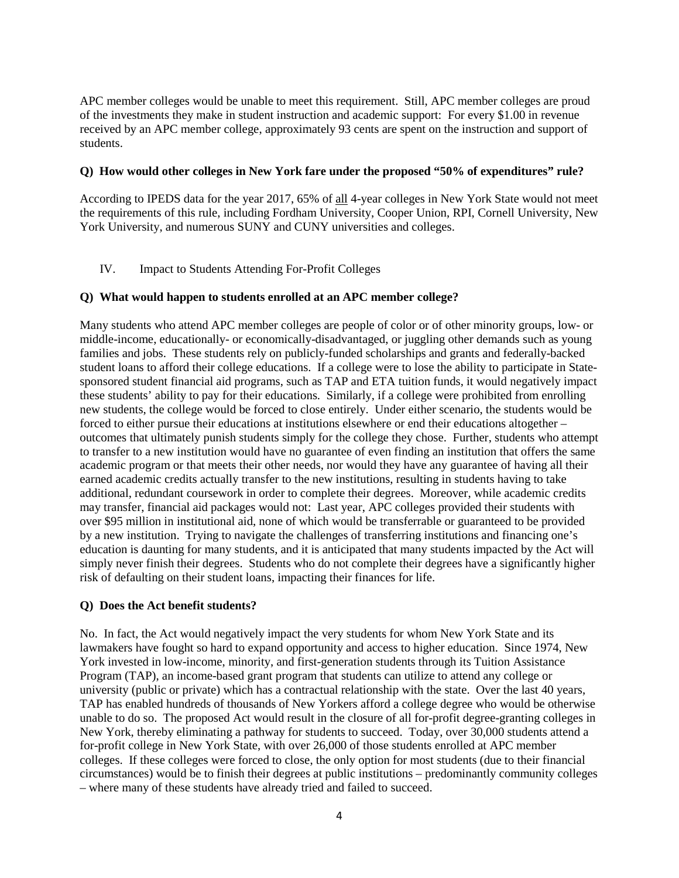APC member colleges would be unable to meet this requirement. Still, APC member colleges are proud of the investments they make in student instruction and academic support: For every \$1.00 in revenue received by an APC member college, approximately 93 cents are spent on the instruction and support of students.

#### **Q) How would other colleges in New York fare under the proposed "50% of expenditures" rule?**

According to IPEDS data for the year 2017, 65% of all 4-year colleges in New York State would not meet the requirements of this rule, including Fordham University, Cooper Union, RPI, Cornell University, New York University, and numerous SUNY and CUNY universities and colleges.

# IV. Impact to Students Attending For-Profit Colleges

#### **Q) What would happen to students enrolled at an APC member college?**

Many students who attend APC member colleges are people of color or of other minority groups, low- or middle-income, educationally- or economically-disadvantaged, or juggling other demands such as young families and jobs. These students rely on publicly-funded scholarships and grants and federally-backed student loans to afford their college educations. If a college were to lose the ability to participate in Statesponsored student financial aid programs, such as TAP and ETA tuition funds, it would negatively impact these students' ability to pay for their educations. Similarly, if a college were prohibited from enrolling new students, the college would be forced to close entirely. Under either scenario, the students would be forced to either pursue their educations at institutions elsewhere or end their educations altogether – outcomes that ultimately punish students simply for the college they chose. Further, students who attempt to transfer to a new institution would have no guarantee of even finding an institution that offers the same academic program or that meets their other needs, nor would they have any guarantee of having all their earned academic credits actually transfer to the new institutions, resulting in students having to take additional, redundant coursework in order to complete their degrees. Moreover, while academic credits may transfer, financial aid packages would not: Last year, APC colleges provided their students with over \$95 million in institutional aid, none of which would be transferrable or guaranteed to be provided by a new institution. Trying to navigate the challenges of transferring institutions and financing one's education is daunting for many students, and it is anticipated that many students impacted by the Act will simply never finish their degrees. Students who do not complete their degrees have a significantly higher risk of defaulting on their student loans, impacting their finances for life.

#### **Q) Does the Act benefit students?**

No. In fact, the Act would negatively impact the very students for whom New York State and its lawmakers have fought so hard to expand opportunity and access to higher education. Since 1974, New York invested in low-income, minority, and first-generation students through its Tuition Assistance Program (TAP), an income-based grant program that students can utilize to attend any college or university (public or private) which has a contractual relationship with the state. Over the last 40 years, TAP has enabled hundreds of thousands of New Yorkers afford a college degree who would be otherwise unable to do so. The proposed Act would result in the closure of all for-profit degree-granting colleges in New York, thereby eliminating a pathway for students to succeed. Today, over 30,000 students attend a for-profit college in New York State, with over 26,000 of those students enrolled at APC member colleges. If these colleges were forced to close, the only option for most students (due to their financial circumstances) would be to finish their degrees at public institutions – predominantly community colleges – where many of these students have already tried and failed to succeed.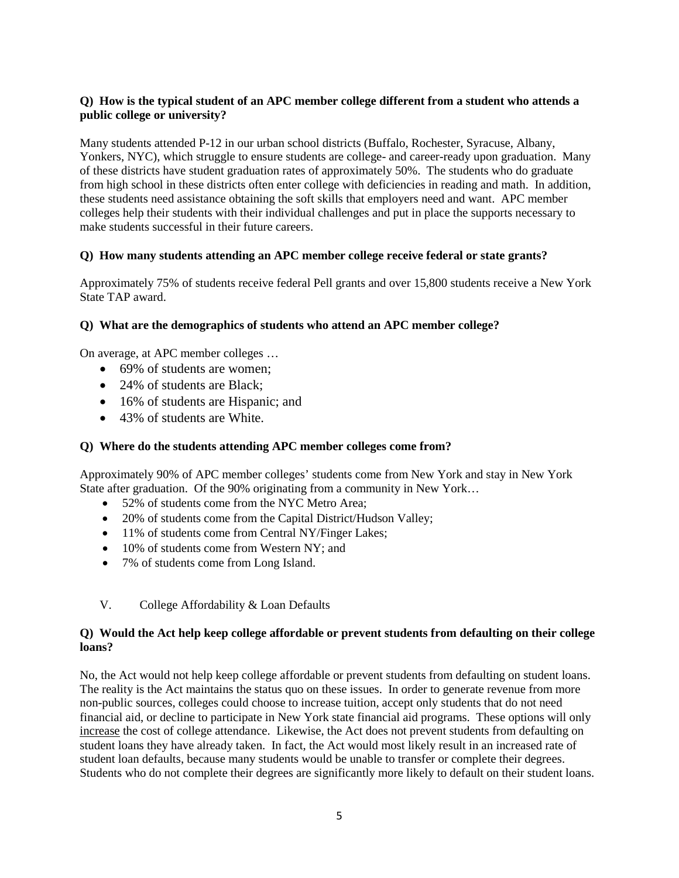# **Q) How is the typical student of an APC member college different from a student who attends a public college or university?**

Many students attended P-12 in our urban school districts (Buffalo, Rochester, Syracuse, Albany, Yonkers, NYC), which struggle to ensure students are college- and career-ready upon graduation. Many of these districts have student graduation rates of approximately 50%. The students who do graduate from high school in these districts often enter college with deficiencies in reading and math. In addition, these students need assistance obtaining the soft skills that employers need and want. APC member colleges help their students with their individual challenges and put in place the supports necessary to make students successful in their future careers.

# **Q) How many students attending an APC member college receive federal or state grants?**

Approximately 75% of students receive federal Pell grants and over 15,800 students receive a New York State TAP award.

# **Q) What are the demographics of students who attend an APC member college?**

On average, at APC member colleges …

- 69% of students are women:
- 24% of students are Black;
- 16% of students are Hispanic; and
- 43% of students are White.

#### **Q) Where do the students attending APC member colleges come from?**

Approximately 90% of APC member colleges' students come from New York and stay in New York State after graduation. Of the 90% originating from a community in New York…

- 52% of students come from the NYC Metro Area;
- 20% of students come from the Capital District/Hudson Valley;
- 11% of students come from Central NY/Finger Lakes;
- 10% of students come from Western NY; and
- 7% of students come from Long Island.
- V. College Affordability & Loan Defaults

#### **Q) Would the Act help keep college affordable or prevent students from defaulting on their college loans?**

No, the Act would not help keep college affordable or prevent students from defaulting on student loans. The reality is the Act maintains the status quo on these issues. In order to generate revenue from more non-public sources, colleges could choose to increase tuition, accept only students that do not need financial aid, or decline to participate in New York state financial aid programs. These options will only increase the cost of college attendance. Likewise, the Act does not prevent students from defaulting on student loans they have already taken. In fact, the Act would most likely result in an increased rate of student loan defaults, because many students would be unable to transfer or complete their degrees. Students who do not complete their degrees are significantly more likely to default on their student loans.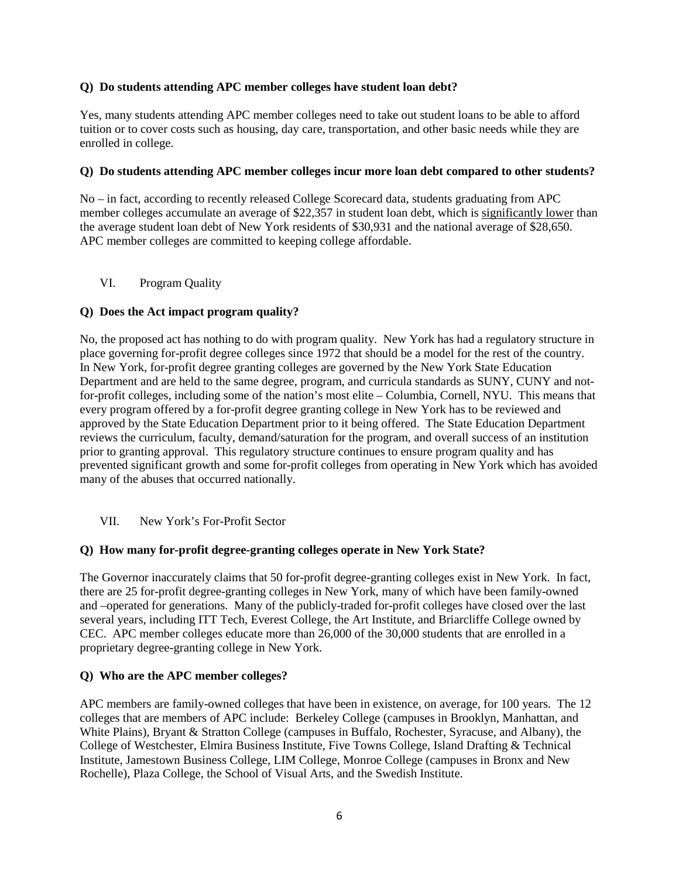#### **Q) Do students attending APC member colleges have student loan debt?**

Yes, many students attending APC member colleges need to take out student loans to be able to afford tuition or to cover costs such as housing, day care, transportation, and other basic needs while they are enrolled in college.

# **Q) Do students attending APC member colleges incur more loan debt compared to other students?**

No – in fact, according to recently released College Scorecard data, students graduating from APC member colleges accumulate an average of \$22,357 in student loan debt, which is significantly lower than the average student loan debt of New York residents of \$30,931 and the national average of \$28,650. APC member colleges are committed to keeping college affordable.

# VI. Program Quality

# **Q) Does the Act impact program quality?**

No, the proposed act has nothing to do with program quality. New York has had a regulatory structure in place governing for-profit degree colleges since 1972 that should be a model for the rest of the country. In New York, for-profit degree granting colleges are governed by the New York State Education Department and are held to the same degree, program, and curricula standards as SUNY, CUNY and notfor-profit colleges, including some of the nation's most elite – Columbia, Cornell, NYU. This means that every program offered by a for-profit degree granting college in New York has to be reviewed and approved by the State Education Department prior to it being offered. The State Education Department reviews the curriculum, faculty, demand/saturation for the program, and overall success of an institution prior to granting approval. This regulatory structure continues to ensure program quality and has prevented significant growth and some for-profit colleges from operating in New York which has avoided many of the abuses that occurred nationally.

# VII. New York's For-Profit Sector

# **Q) How many for-profit degree-granting colleges operate in New York State?**

The Governor inaccurately claims that 50 for-profit degree-granting colleges exist in New York. In fact, there are 25 for-profit degree-granting colleges in New York, many of which have been family-owned and –operated for generations. Many of the publicly-traded for-profit colleges have closed over the last several years, including ITT Tech, Everest College, the Art Institute, and Briarcliffe College owned by CEC. APC member colleges educate more than 26,000 of the 30,000 students that are enrolled in a proprietary degree-granting college in New York.

#### **Q) Who are the APC member colleges?**

APC members are family-owned colleges that have been in existence, on average, for 100 years. The 12 colleges that are members of APC include: Berkeley College (campuses in Brooklyn, Manhattan, and White Plains), Bryant & Stratton College (campuses in Buffalo, Rochester, Syracuse, and Albany), the College of Westchester, Elmira Business Institute, Five Towns College, Island Drafting & Technical Institute, Jamestown Business College, LIM College, Monroe College (campuses in Bronx and New Rochelle), Plaza College, the School of Visual Arts, and the Swedish Institute.